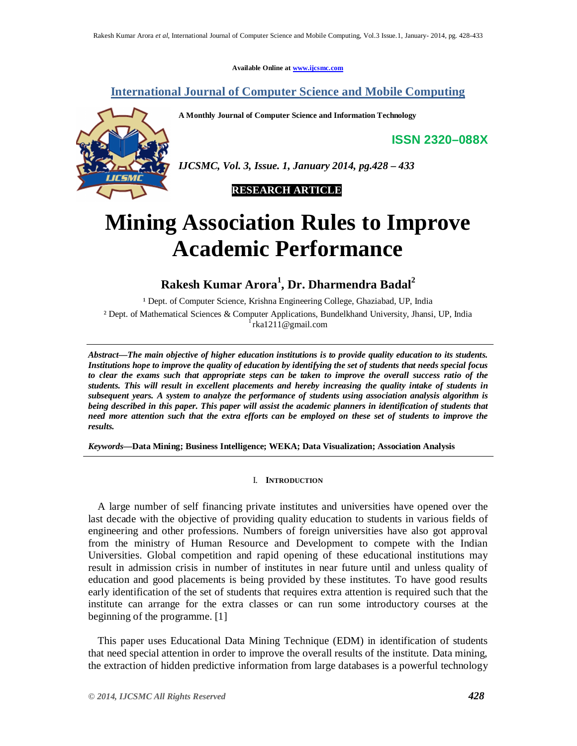**Available Online at www.ijcsmc.com**

## **International Journal of Computer Science and Mobile Computing**

**A Monthly Journal of Computer Science and Information Technology**

**ISSN 2320–088X**



*IJCSMC, Vol. 3, Issue. 1, January 2014, pg.428 – 433*

 **RESEARCH ARTICLE**

# **Mining Association Rules to Improve Academic Performance**

**Rakesh Kumar Arora<sup>1</sup> , Dr. Dharmendra Badal<sup>2</sup>**

<sup>1</sup> Dept. of Computer Science, Krishna Engineering College, Ghaziabad, UP, India ² Dept. of Mathematical Sciences & Computer Applications, Bundelkhand University, Jhansi, UP, India  $\int$ rka1211@gmail.com

*Abstract—The main objective of higher education institutions is to provide quality education to its students. Institutions hope to improve the quality of education by identifying the set of students that needs special focus to clear the exams such that appropriate steps can be taken to improve the overall success ratio of the students. This will result in excellent placements and hereby increasing the quality intake of students in subsequent years. A system to analyze the performance of students using association analysis algorithm is being described in this paper. This paper will assist the academic planners in identification of students that need more attention such that the extra efforts can be employed on these set of students to improve the results.*

*Keywords—***Data Mining; Business Intelligence; WEKA; Data Visualization; Association Analysis**

### I. **INTRODUCTION**

A large number of self financing private institutes and universities have opened over the last decade with the objective of providing quality education to students in various fields of engineering and other professions. Numbers of foreign universities have also got approval from the ministry of Human Resource and Development to compete with the Indian Universities. Global competition and rapid opening of these educational institutions may result in admission crisis in number of institutes in near future until and unless quality of education and good placements is being provided by these institutes. To have good results early identification of the set of students that requires extra attention is required such that the institute can arrange for the extra classes or can run some introductory courses at the beginning of the programme. [1]

This paper uses Educational Data Mining Technique (EDM) in identification of students that need special attention in order to improve the overall results of the institute. Data mining, the extraction of hidden predictive information from large databases is a powerful technology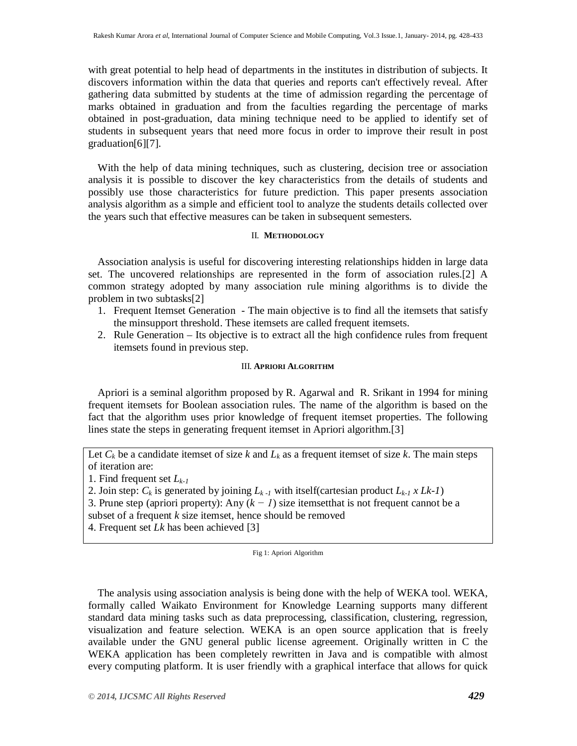with great potential to help head of departments in the institutes in distribution of subjects. It discovers information within the data that queries and reports can't effectively reveal. After gathering data submitted by students at the time of admission regarding the percentage of marks obtained in graduation and from the faculties regarding the percentage of marks obtained in post-graduation, data mining technique need to be applied to identify set of students in subsequent years that need more focus in order to improve their result in post graduation[6][7].

With the help of data mining techniques, such as clustering, decision tree or association analysis it is possible to discover the key characteristics from the details of students and possibly use those characteristics for future prediction. This paper presents association analysis algorithm as a simple and efficient tool to analyze the students details collected over the years such that effective measures can be taken in subsequent semesters.

#### II. **METHODOLOGY**

Association analysis is useful for discovering interesting relationships hidden in large data set. The uncovered relationships are represented in the form of association rules.[2] A common strategy adopted by many association rule mining algorithms is to divide the problem in two subtasks[2]

- 1. Frequent Itemset Generation The main objective is to find all the itemsets that satisfy the minsupport threshold. These itemsets are called frequent itemsets.
- 2. Rule Generation Its objective is to extract all the high confidence rules from frequent itemsets found in previous step.

#### III. **APRIORI ALGORITHM**

Apriori is a seminal algorithm proposed by R. Agarwal and R. Srikant in 1994 for mining frequent itemsets for Boolean association rules. The name of the algorithm is based on the fact that the algorithm uses prior knowledge of frequent itemset properties. The following lines state the steps in generating frequent itemset in Apriori algorithm.[3]

Let  $C_k$  be a candidate itemset of size  $k$  and  $L_k$  as a frequent itemset of size  $k$ . The main steps of iteration are:

1. Find frequent set *Lk-1*

2. Join step:  $C_k$  is generated by joining  $L_{k-1}$  with itself(cartesian product  $L_{k-1}$  x  $L_{k-1}$ )

3. Prune step (apriori property): Any (*k − 1*) size itemsetthat is not frequent cannot be a

subset of a frequent *k* size itemset, hence should be removed

4. Frequent set *Lk* has been achieved [3]

Fig 1: Apriori Algorithm

The analysis using association analysis is being done with the help of WEKA tool. WEKA, formally called Waikato Environment for Knowledge Learning supports many different standard data mining tasks such as data preprocessing, classification, clustering, regression, visualization and feature selection. WEKA is an open source application that is freely available under the GNU general public license agreement. Originally written in C the WEKA application has been completely rewritten in Java and is compatible with almost every computing platform. It is user friendly with a graphical interface that allows for quick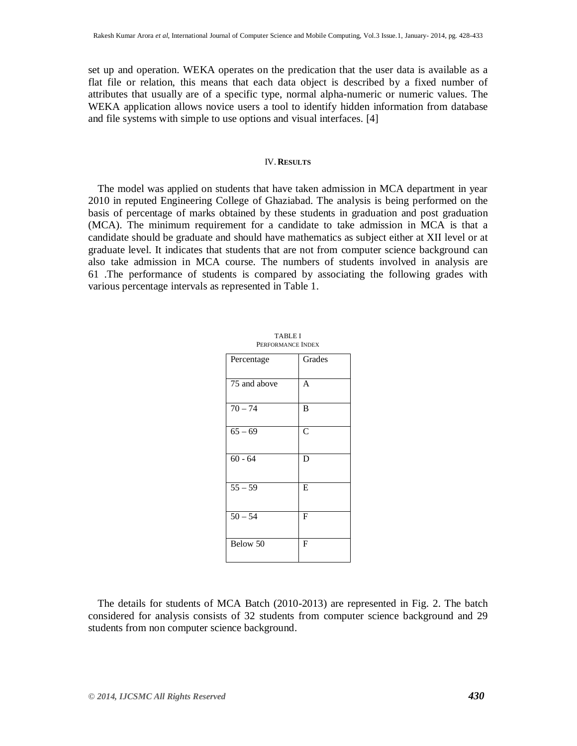set up and operation. WEKA operates on the predication that the user data is available as a flat file or relation, this means that each data object is described by a fixed number of attributes that usually are of a specific type, normal alpha-numeric or numeric values. The WEKA application allows novice users a tool to identify hidden information from database and file systems with simple to use options and visual interfaces. [4]

#### IV. **RESULTS**

The model was applied on students that have taken admission in MCA department in year 2010 in reputed Engineering College of Ghaziabad. The analysis is being performed on the basis of percentage of marks obtained by these students in graduation and post graduation (MCA). The minimum requirement for a candidate to take admission in MCA is that a candidate should be graduate and should have mathematics as subject either at XII level or at graduate level. It indicates that students that are not from computer science background can also take admission in MCA course. The numbers of students involved in analysis are 61 .The performance of students is compared by associating the following grades with various percentage intervals as represented in Table 1.

| Percentage           | Grades                |
|----------------------|-----------------------|
| 75 and above         | A                     |
| $70 - 74$            | B                     |
| $\overline{65} - 69$ | $\overline{\text{C}}$ |
| $60 - 64$            | D                     |
| $55 - 59$            | E                     |
| $50 - 54$            | F                     |
| Below 50             | F                     |

| <b>TABLE I</b>    |
|-------------------|
| PERFORMANCE INDEX |

The details for students of MCA Batch (2010-2013) are represented in Fig. 2. The batch considered for analysis consists of 32 students from computer science background and 29 students from non computer science background.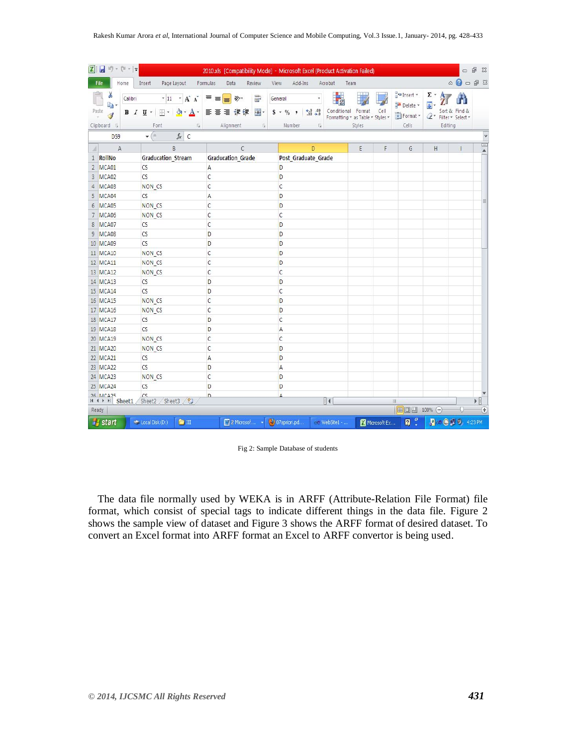| $\mathbf{X}$                     |                                                                                                     |                                                                     | 2010.xls [Compatibility Mode] - Microsoft Excel (Product Activation Failed) |                                                                |                                                                                              | - 6<br>$\Sigma$                                                                                                                                                                                                                                                                                                                         |
|----------------------------------|-----------------------------------------------------------------------------------------------------|---------------------------------------------------------------------|-----------------------------------------------------------------------------|----------------------------------------------------------------|----------------------------------------------------------------------------------------------|-----------------------------------------------------------------------------------------------------------------------------------------------------------------------------------------------------------------------------------------------------------------------------------------------------------------------------------------|
| File<br>Home                     | Page Layout<br>Insert                                                                               | Formulas<br>Data<br>Review                                          | View<br>Add-Ins<br>Acrobat                                                  | Team                                                           |                                                                                              | $\begin{picture}(150,10) \put(0,0){\line(1,0){155}} \put(150,0){\line(1,0){155}} \put(150,0){\line(1,0){155}} \put(150,0){\line(1,0){155}} \put(150,0){\line(1,0){155}} \put(150,0){\line(1,0){155}} \put(150,0){\line(1,0){155}} \put(150,0){\line(1,0){155}} \put(150,0){\line(1,0){155}} \put(150,0){\line(1,0){155}} \put(150,0){\$ |
| ¥<br>Calibri<br>à.<br>Paste<br>J | $*$ 11 $*$ A <sup>*</sup> A <sup>*</sup><br>$\Box$ * $\triangle$ * $\Delta$ *<br>$B$ $I$ $U$ $\sim$ | $\exists$<br>$\equiv \equiv \boxed{=}$ $\frac{1}{2}$<br>画面画像館<br>쿌- | General<br>山线<br>$6.0$ .00<br>0.4 00.<br>$$ - % - $$                        | Conditional Format<br>Cell<br>Formatting * as Table * Styles * | $\frac{a}{b}$ Insert $\star$<br>Delete *<br>$\overline{\bullet}$ .<br>Format *<br>$Q_{\tau}$ | $\Sigma$ + $A$<br>Â<br>Sort & Find &<br>Filter v Select v                                                                                                                                                                                                                                                                               |
| Clipboard <b>Is</b>              | Font<br>$\overline{\mathrm{b}}$                                                                     | Alignment<br>$-\frac{1}{M}$                                         | Number<br>$\overline{\mathfrak{h}_d}$                                       | Styles                                                         | Cells                                                                                        | Editing                                                                                                                                                                                                                                                                                                                                 |
| D <sub>59</sub>                  | $f_x$ C<br>$\mathbf{v}$ (=                                                                          |                                                                     |                                                                             |                                                                |                                                                                              | $\checkmark$<br>$=$                                                                                                                                                                                                                                                                                                                     |
| $\mathsf{A}$<br>4                | B                                                                                                   | C                                                                   | D                                                                           | E<br>F                                                         | G                                                                                            | H<br>$\mathbf{I}$<br>Á                                                                                                                                                                                                                                                                                                                  |
| RollNo<br>1                      | Graducation Stream                                                                                  | <b>Graducation Grade</b>                                            | Post Graduate Grade                                                         |                                                                |                                                                                              |                                                                                                                                                                                                                                                                                                                                         |
| MCA01<br>$\overline{2}$          | <b>CS</b>                                                                                           | A                                                                   | D                                                                           |                                                                |                                                                                              |                                                                                                                                                                                                                                                                                                                                         |
| MCA02<br>3                       | CS                                                                                                  | С                                                                   | D                                                                           |                                                                |                                                                                              |                                                                                                                                                                                                                                                                                                                                         |
| MCA03<br>4                       | NON_CS                                                                                              | C                                                                   | C                                                                           |                                                                |                                                                                              |                                                                                                                                                                                                                                                                                                                                         |
| MCA04<br>5                       | CS                                                                                                  | A                                                                   | D                                                                           |                                                                |                                                                                              | $\equiv$                                                                                                                                                                                                                                                                                                                                |
| MCA05<br>6<br>7 MCA06            | NON_CS                                                                                              | C                                                                   | D<br>С                                                                      |                                                                |                                                                                              |                                                                                                                                                                                                                                                                                                                                         |
| MCA07<br>8                       | NON CS<br>CS                                                                                        | С<br>C                                                              | D                                                                           |                                                                |                                                                                              |                                                                                                                                                                                                                                                                                                                                         |
| 9 MCA08                          | <b>CS</b>                                                                                           | D                                                                   | D                                                                           |                                                                |                                                                                              |                                                                                                                                                                                                                                                                                                                                         |
| 10 MCA09                         | <b>CS</b>                                                                                           | D                                                                   | D                                                                           |                                                                |                                                                                              |                                                                                                                                                                                                                                                                                                                                         |
| 11 MCA10                         | NON CS                                                                                              | C                                                                   | D                                                                           |                                                                |                                                                                              |                                                                                                                                                                                                                                                                                                                                         |
| 12 MCA11                         | NON CS                                                                                              | C                                                                   | D                                                                           |                                                                |                                                                                              |                                                                                                                                                                                                                                                                                                                                         |
| 13 MCA12                         | NON CS                                                                                              | C                                                                   | C                                                                           |                                                                |                                                                                              |                                                                                                                                                                                                                                                                                                                                         |
| 14 MCA13                         | CS                                                                                                  | D                                                                   | D                                                                           |                                                                |                                                                                              |                                                                                                                                                                                                                                                                                                                                         |
| 15 MCA14                         | $\mathsf{CS}\phantom{0}$                                                                            | D                                                                   | C                                                                           |                                                                |                                                                                              |                                                                                                                                                                                                                                                                                                                                         |
| 16 MCA15                         | NON CS                                                                                              | C                                                                   | D                                                                           |                                                                |                                                                                              |                                                                                                                                                                                                                                                                                                                                         |
| 17 MCA16                         | NON_CS                                                                                              | C                                                                   | D                                                                           |                                                                |                                                                                              |                                                                                                                                                                                                                                                                                                                                         |
| 18 MCA17                         | CS                                                                                                  | D                                                                   | C                                                                           |                                                                |                                                                                              |                                                                                                                                                                                                                                                                                                                                         |
| 19 MCA18                         | CS                                                                                                  | D                                                                   | А                                                                           |                                                                |                                                                                              |                                                                                                                                                                                                                                                                                                                                         |
| 20 MCA19                         | NON CS                                                                                              | C                                                                   | C                                                                           |                                                                |                                                                                              |                                                                                                                                                                                                                                                                                                                                         |
| 21 MCA20                         | NON CS                                                                                              | C                                                                   | D                                                                           |                                                                |                                                                                              |                                                                                                                                                                                                                                                                                                                                         |
| 22 MCA21                         | CS                                                                                                  | A                                                                   | D                                                                           |                                                                |                                                                                              |                                                                                                                                                                                                                                                                                                                                         |
| 23 MCA22                         | CS                                                                                                  | D                                                                   | A                                                                           |                                                                |                                                                                              |                                                                                                                                                                                                                                                                                                                                         |
| 24 MCA23                         | NON CS                                                                                              | C                                                                   | D                                                                           |                                                                |                                                                                              |                                                                                                                                                                                                                                                                                                                                         |
| 25 MCA24                         | CS                                                                                                  | D                                                                   | D                                                                           |                                                                |                                                                                              |                                                                                                                                                                                                                                                                                                                                         |
| 26 MCA25                         | $\sim$<br>H + ▶ H Sheet1 Sheet2 Sheet3 2                                                            | D.                                                                  | $\Delta$<br>$\mathbb{R}$                                                    |                                                                | <b>III</b>                                                                                   | $\blacktriangleright$ $  $                                                                                                                                                                                                                                                                                                              |
| Ready                            |                                                                                                     |                                                                     |                                                                             |                                                                | ■□凹 100% ←                                                                                   | $\left( +\right)$                                                                                                                                                                                                                                                                                                                       |
| <b>Start</b>                     | tocal Disk (D:)<br><b>F</b> III                                                                     | M2 Microsof ▼                                                       | 107 apriori.pd<br>all WebSite1 -                                            | Microsoft Ex                                                   | $\mathbf{R}$ $\mathbf{C}$                                                                    | Dcc + 23 PM                                                                                                                                                                                                                                                                                                                             |

Fig 2: Sample Database of students

The data file normally used by WEKA is in ARFF (Attribute-Relation File Format) file format, which consist of special tags to indicate different things in the data file. Figure 2 shows the sample view of dataset and Figure 3 shows the ARFF format of desired dataset. To convert an Excel format into ARFF format an Excel to ARFF convertor is being used.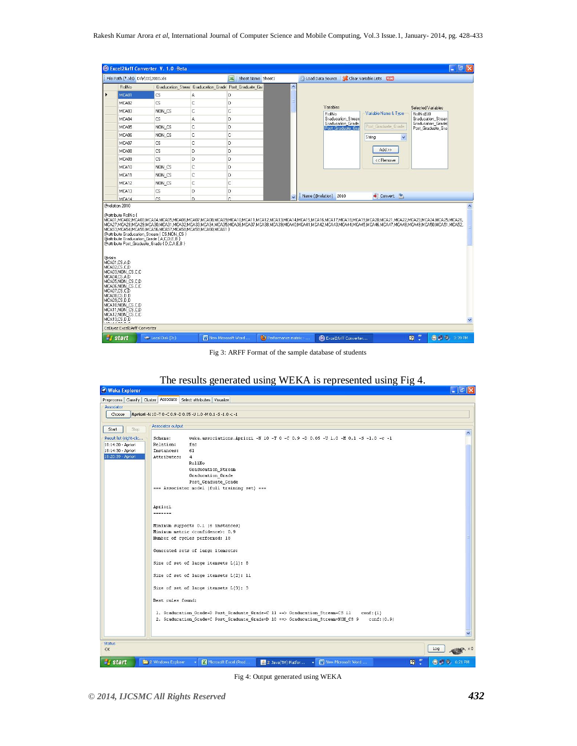#### Rakesh Kumar Arora *et al*, International Journal of Computer Science and Mobile Computing, Vol.3 Issue.1, January- 2014, pg. 428-433

|       |                                                                                                                                                                                                                                         | Excel2Arff Converter V. 1.0 -Beta                                                                                                                                                                   |                      |                                     |                          |                                                |                                        |                                                                                                                                                                                                                                                                                                                                                                                                |                                         | $\ .\ $ a $\ $ $\times$ |
|-------|-----------------------------------------------------------------------------------------------------------------------------------------------------------------------------------------------------------------------------------------|-----------------------------------------------------------------------------------------------------------------------------------------------------------------------------------------------------|----------------------|-------------------------------------|--------------------------|------------------------------------------------|----------------------------------------|------------------------------------------------------------------------------------------------------------------------------------------------------------------------------------------------------------------------------------------------------------------------------------------------------------------------------------------------------------------------------------------------|-----------------------------------------|-------------------------|
|       | File Path (*.xls) D:\r\III\2010.xls                                                                                                                                                                                                     |                                                                                                                                                                                                     |                      | Sheet Name Sheet1<br>弩              |                          | Load Data Source   Clear Variable Lists   VIII |                                        |                                                                                                                                                                                                                                                                                                                                                                                                |                                         |                         |
|       | RollNo                                                                                                                                                                                                                                  | Graducation Stream                                                                                                                                                                                  |                      | Graducation Grade Post Graduate Gra | $\blacktriangle$         |                                                |                                        |                                                                                                                                                                                                                                                                                                                                                                                                |                                         |                         |
| ▶     | MCA01                                                                                                                                                                                                                                   | <b>CS</b>                                                                                                                                                                                           | A                    | D                                   |                          |                                                |                                        |                                                                                                                                                                                                                                                                                                                                                                                                |                                         |                         |
|       | MCA02                                                                                                                                                                                                                                   | CS                                                                                                                                                                                                  | Ċ                    | D                                   |                          |                                                |                                        |                                                                                                                                                                                                                                                                                                                                                                                                |                                         |                         |
|       | MCA03                                                                                                                                                                                                                                   | NON CS                                                                                                                                                                                              | C                    | Ċ                                   |                          | Variables<br>RollNo                            |                                        | Variable Name & Type                                                                                                                                                                                                                                                                                                                                                                           | Selected Variables<br>RollNo(S)0        |                         |
|       | MCA04                                                                                                                                                                                                                                   | <b>CS</b>                                                                                                                                                                                           | A                    | D                                   |                          |                                                | Graducation_Stream                     |                                                                                                                                                                                                                                                                                                                                                                                                | Graducation_Stream                      |                         |
|       | MCA05                                                                                                                                                                                                                                   | NON_CS                                                                                                                                                                                              | c                    | D                                   |                          |                                                | Graducation Grade<br>Post Graduate Gra | Post Graduate Grade                                                                                                                                                                                                                                                                                                                                                                            | Graducation Gradel<br>Post Graduate Gra |                         |
|       | MCA06                                                                                                                                                                                                                                   | NON CS                                                                                                                                                                                              | c                    | Ċ                                   |                          |                                                |                                        | String<br>$\checkmark$                                                                                                                                                                                                                                                                                                                                                                         |                                         |                         |
|       | MCA07                                                                                                                                                                                                                                   | CS                                                                                                                                                                                                  | C                    | D                                   |                          |                                                |                                        |                                                                                                                                                                                                                                                                                                                                                                                                |                                         |                         |
|       | MCA08                                                                                                                                                                                                                                   | CS                                                                                                                                                                                                  | D                    | D                                   |                          |                                                | $Add$ $>$                              |                                                                                                                                                                                                                                                                                                                                                                                                |                                         |                         |
|       | MCA09                                                                                                                                                                                                                                   | CS                                                                                                                                                                                                  | D                    | D                                   |                          |                                                |                                        | << Remove                                                                                                                                                                                                                                                                                                                                                                                      |                                         |                         |
|       | MCA10                                                                                                                                                                                                                                   | NON_CS                                                                                                                                                                                              | Ċ                    | D                                   |                          |                                                |                                        |                                                                                                                                                                                                                                                                                                                                                                                                |                                         |                         |
|       | MCA11                                                                                                                                                                                                                                   | NON CS                                                                                                                                                                                              | c                    | D                                   |                          |                                                |                                        |                                                                                                                                                                                                                                                                                                                                                                                                |                                         |                         |
|       | MCA12                                                                                                                                                                                                                                   | NON CS                                                                                                                                                                                              | c                    | Ċ                                   |                          |                                                |                                        |                                                                                                                                                                                                                                                                                                                                                                                                |                                         |                         |
|       | MCA13                                                                                                                                                                                                                                   | <b>CS</b>                                                                                                                                                                                           | D                    | D                                   |                          |                                                |                                        |                                                                                                                                                                                                                                                                                                                                                                                                |                                         |                         |
|       | MCA14                                                                                                                                                                                                                                   | CS.                                                                                                                                                                                                 | n.                   | C.                                  | $\ddot{\phantom{0}}$     | : Name (@relation) 2010                        |                                        | Convert &                                                                                                                                                                                                                                                                                                                                                                                      |                                         |                         |
|       | @attribute RollNo {                                                                                                                                                                                                                     | MCA53.MCA54.MCA55.MCA56.MCA57.MCA58.MCA59.MCA60.MCA61 }<br>@attribute Graducation Stream { CS, NON CS }<br>@attribute Graducation Grade {A,C,D,E,B }<br>@attribute Post Graduate Grade {D,C,A,E,B } |                      |                                     |                          |                                                |                                        | MCA01,MCA02,MCA03,MCA04,MCA05,MCA06,MCA07,MCA08,MCA09,MCA10,MCA11,MCA12,MCA13,MCA14,MCA15,MCA16,MCA18,MCA19,MCA20,MCA21,MCA22,MCA23,MCA24,MCA25,MCA26,MCA26,<br>MCA27,MCA28,MCA29,MCA30,MCA31,MCA32,MCA33,MCA34,MCA35,MCA36,MCA38,MCA38,MCA40,MCA41,MCA42,MCA43,MCA44,MCA45,MCA46,MCA48,MCA48,MCA48,MCA48,MCA48,MCA48,MCA48,MCA48,MCA48,MCA48,MCA48,MCA48,MCA48,MCA48,MCA48,MCA48,MCA48,MCA48, |                                         |                         |
| @data | MCA01.CS.A.D<br>MCA02.CS.C.D<br>MCA03,NON CS,C,C<br>MCA04.CS A.D<br>MCA05,NON CS,C,D<br>MCA06,NON CS.C.C<br>MCA07.CS.C.D<br>MCA08.CS.D.D<br>MCA09.CS.D.D<br>MCA10,NON CS,C,D<br>MCA11,NON_CS,C,D<br>MCA12, NON_CS, C, C<br>MCA13,CS,D,D |                                                                                                                                                                                                     |                      |                                     |                          |                                                |                                        |                                                                                                                                                                                                                                                                                                                                                                                                |                                         | $\checkmark$            |
|       | CeDiyez Excel2Arff Converter                                                                                                                                                                                                            |                                                                                                                                                                                                     |                      |                                     |                          |                                                |                                        |                                                                                                                                                                                                                                                                                                                                                                                                |                                         |                         |
|       | <b>Start</b>                                                                                                                                                                                                                            | tocal Disk (D:)                                                                                                                                                                                     | M New Microsoft Word |                                     | (2) Performance matrix - |                                                | Excel2Arff Converter                   |                                                                                                                                                                                                                                                                                                                                                                                                | $\sigma$<br>$\overline{\mathbf{z}}$     | <b>@ 2 9</b> , 3:39 PM  |

Fig 3: ARFF Format of the sample database of students

| <b>Weka Explorer</b>    |                                                                                                                                                                                             | $ \sigma$ $\mathbf{x}$         |
|-------------------------|---------------------------------------------------------------------------------------------------------------------------------------------------------------------------------------------|--------------------------------|
|                         | Preprocess Classify Cluster Associate Select attributes Visualize                                                                                                                           |                                |
| Associator              |                                                                                                                                                                                             |                                |
| Choose                  | Apriori -N 10 -T 0 -C 0.9 -D 0.05 -U 1.0 -M 0.1 -S -1.0 -c -1                                                                                                                               |                                |
|                         |                                                                                                                                                                                             |                                |
| Start<br>Stop           | Associator output                                                                                                                                                                           | $\hat{\phantom{a}}$            |
| Result list (right-clic | Scheme:<br>weka.associations.Apriori -N 10 -T 0 -C 0.9 -D 0.05 -U 1.0 -M 0.1 -S -1.0 -c -1                                                                                                  |                                |
| 18:14:20 - Apriori      | Relation:<br>fac                                                                                                                                                                            |                                |
| 18:14:30 - Apriori      | 61<br>Instances:                                                                                                                                                                            |                                |
| 18:20:39 - Apriori      | $\overline{a}$<br>Attributes:                                                                                                                                                               |                                |
|                         | RollNo                                                                                                                                                                                      |                                |
|                         | Graducation Stream<br>Graducation Grade                                                                                                                                                     |                                |
|                         | Post_Graduate_Grade                                                                                                                                                                         |                                |
|                         | === Associator model (full training set) ===                                                                                                                                                |                                |
|                         |                                                                                                                                                                                             |                                |
|                         |                                                                                                                                                                                             |                                |
|                         | Apriori                                                                                                                                                                                     |                                |
|                         |                                                                                                                                                                                             |                                |
|                         | Minimum support: 0.1 (6 instances)                                                                                                                                                          |                                |
|                         | Minimum metric <confidence>: 0.9</confidence>                                                                                                                                               |                                |
|                         | Number of cycles performed: 18                                                                                                                                                              |                                |
|                         |                                                                                                                                                                                             |                                |
|                         | Generated sets of large itemsets:                                                                                                                                                           |                                |
|                         |                                                                                                                                                                                             |                                |
|                         | Size of set of large itemsets L(1): 8                                                                                                                                                       |                                |
|                         | Size of set of large itemsets L(2): 11                                                                                                                                                      |                                |
|                         |                                                                                                                                                                                             |                                |
|                         | Size of set of large itemsets L(3): 3                                                                                                                                                       |                                |
|                         |                                                                                                                                                                                             |                                |
|                         | Best rules found:                                                                                                                                                                           |                                |
|                         |                                                                                                                                                                                             |                                |
|                         | 1. Graducation Grade=D Post Graduate Grade=C 11 ==> Graducation Stream=CS 11<br>conf: (1)<br>2. Graducation Grade=C Post Graduate Grade=D 10 ==> Graducation Stream=NON CS 9<br>conf: (0.9) |                                |
|                         |                                                                                                                                                                                             |                                |
|                         |                                                                                                                                                                                             |                                |
|                         |                                                                                                                                                                                             |                                |
| <b>Status</b>           |                                                                                                                                                                                             |                                |
| OK                      |                                                                                                                                                                                             | Log                            |
| <b>B</b> start          | <b>Fil</b> 2 Windows Explorer<br>- Microsoft Excel (Prod<br>M New Microsoft Word<br>2 Java(TM) Platfor<br>≂∎                                                                                | $R^{\sigma}$<br>619<br>6:21 PM |

The results generated using WEKA is represented using Fig 4.

Fig 4: Output generated using WEKA